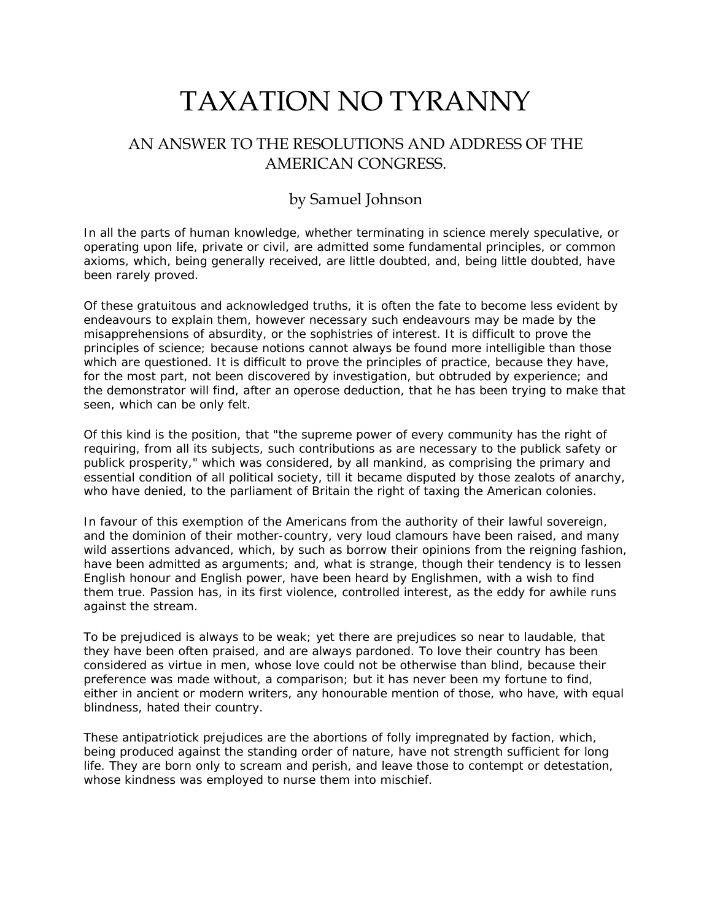## TAXATION NO TYRANNY

## AN ANSWER TO THE RESOLUTIONS AND ADDRESS OF THE AMERICAN CONGRESS.

## by Samuel Johnson

In all the parts of human knowledge, whether terminating in science merely speculative, or operating upon life, private or civil, are admitted some fundamental principles, or common axioms, which, being generally received, are little doubted, and, being little doubted, have been rarely proved.

Of these gratuitous and acknowledged truths, it is often the fate to become less evident by endeavours to explain them, however necessary such endeavours may be made by the misapprehensions of absurdity, or the sophistries of interest. It is difficult to prove the principles of science; because notions cannot always be found more intelligible than those which are questioned. It is difficult to prove the principles of practice, because they have, for the most part, not been discovered by investigation, but obtruded by experience; and the demonstrator will find, after an operose deduction, that he has been trying to make that seen, which can be only felt.

Of this kind is the position, that "the supreme power of every community has the right of requiring, from all its subjects, such contributions as are necessary to the publick safety or publick prosperity," which was considered, by all mankind, as comprising the primary and essential condition of all political society, till it became disputed by those zealots of anarchy, who have denied, to the parliament of Britain the right of taxing the American colonies.

In favour of this exemption of the Americans from the authority of their lawful sovereign, and the dominion of their mother-country, very loud clamours have been raised, and many wild assertions advanced, which, by such as borrow their opinions from the reigning fashion, have been admitted as arguments; and, what is strange, though their tendency is to lessen English honour and English power, have been heard by Englishmen, with a wish to find them true. Passion has, in its first violence, controlled interest, as the eddy for awhile runs against the stream.

[To be prejudiced is always to be weak; yet there are prejudices so near to laudable, that](http://www.samueljohnson.com/politics/)  [they have been often praised, and are always pardoned. To love their country has been](http://www.samueljohnson.com/politics/)  [considered as virtue in men, whose love could not be otherwise than blind, because their](http://www.samueljohnson.com/politics/)  [preference was made without, a comparison; but it has never been my fortune to find,](http://www.samueljohnson.com/politics/)  [either in ancient or modern writers, any honourable mention of those, who have, with equal](http://www.samueljohnson.com/politics/)  [blindness, hated their country.](http://www.samueljohnson.com/politics/) 

These antipatriotick prejudices are the abortions of folly impregnated by faction, which, being produced against the standing order of nature, have not strength sufficient for long life. They are born only to scream and perish, and leave those to contempt or detestation, whose kindness was employed to nurse them into mischief.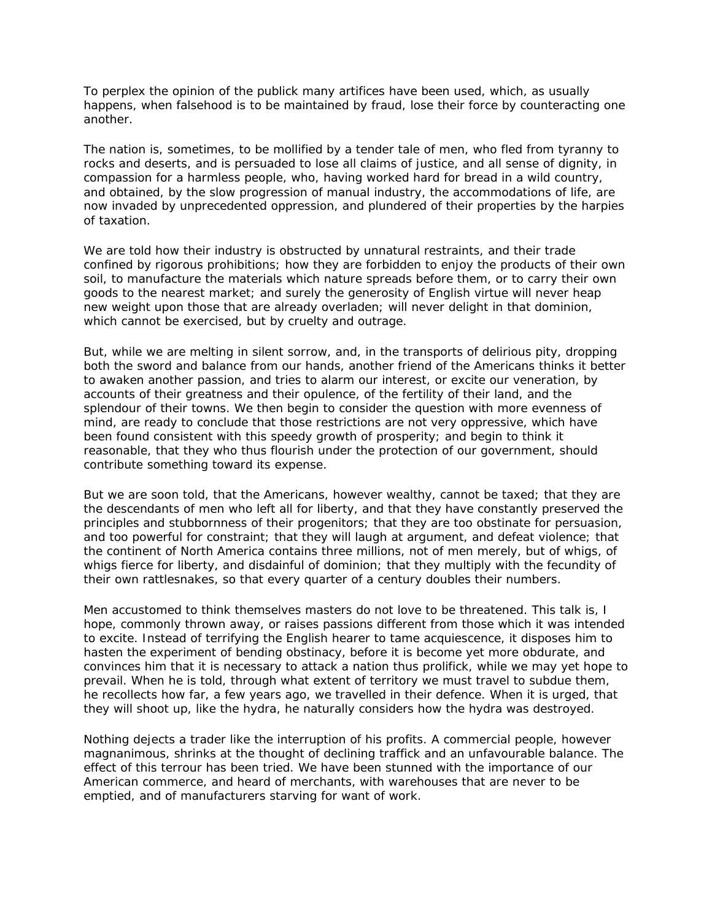To perplex the opinion of the publick many artifices have been used, which, as usually happens, when falsehood is to be maintained by fraud, lose their force by counteracting one another.

The nation is, sometimes, to be mollified by a tender tale of men, who fled from tyranny to rocks and deserts, and is persuaded to lose all claims of justice, and all sense of dignity, in compassion for a harmless people, who, having worked hard for bread in a wild country, and obtained, by the slow progression of manual industry, the accommodations of life, are now invaded by unprecedented oppression, and plundered of their properties by the harpies of taxation.

We are told how their industry is obstructed by unnatural restraints, and their trade confined by rigorous prohibitions; how they are forbidden to enjoy the products of their own soil, to manufacture the materials which nature spreads before them, or to carry their own goods to the nearest market; and surely the generosity of English virtue will never heap new weight upon those that are already overladen; will never delight in that dominion, which cannot be exercised, but by cruelty and outrage.

But, while we are melting in silent sorrow, and, in the transports of delirious pity, dropping both the sword and balance from our hands, another friend of the Americans thinks it better to awaken another passion, and tries to alarm our interest, or excite our veneration, by accounts of their greatness and their opulence, of the fertility of their land, and the splendour of their towns. We then begin to consider the question with more evenness of mind, are ready to conclude that those restrictions are not very oppressive, which have been found consistent with this speedy growth of prosperity; and begin to think it reasonable, that they who thus flourish under the protection of our government, should contribute something toward its expense.

But we are soon told, that the Americans, however wealthy, cannot be taxed; that they are the descendants of men who left all for liberty, and that they have constantly preserved the principles and stubbornness of their progenitors; that they are too obstinate for persuasion, and too powerful for constraint; that they will laugh at argument, and defeat violence; that the continent of North America contains three millions, not of men merely, but of whigs, of whigs fierce for liberty, and disdainful of dominion; that they multiply with the fecundity of their own rattlesnakes, so that every quarter of a century doubles their numbers.

Men accustomed to think themselves masters do not love to be threatened. This talk is, I hope, commonly thrown away, or raises passions different from those which it was intended to excite. Instead of terrifying the English hearer to tame acquiescence, it disposes him to hasten the experiment of bending obstinacy, before it is become yet more obdurate, and convinces him that it is necessary to attack a nation thus prolifick, while we may yet hope to prevail. When he is told, through what extent of territory we must travel to subdue them, he recollects how far, a few years ago, we travelled in their defence. When it is urged, that they will shoot up, like the hydra, he naturally considers how the hydra was destroyed.

Nothing dejects a trader like the interruption of his profits. A commercial people, however magnanimous, shrinks at the thought of declining traffick and an unfavourable balance. The effect of this terrour has been tried. We have been stunned with the importance of our American commerce, and heard of merchants, with warehouses that are never to be emptied, and of manufacturers starving for want of work.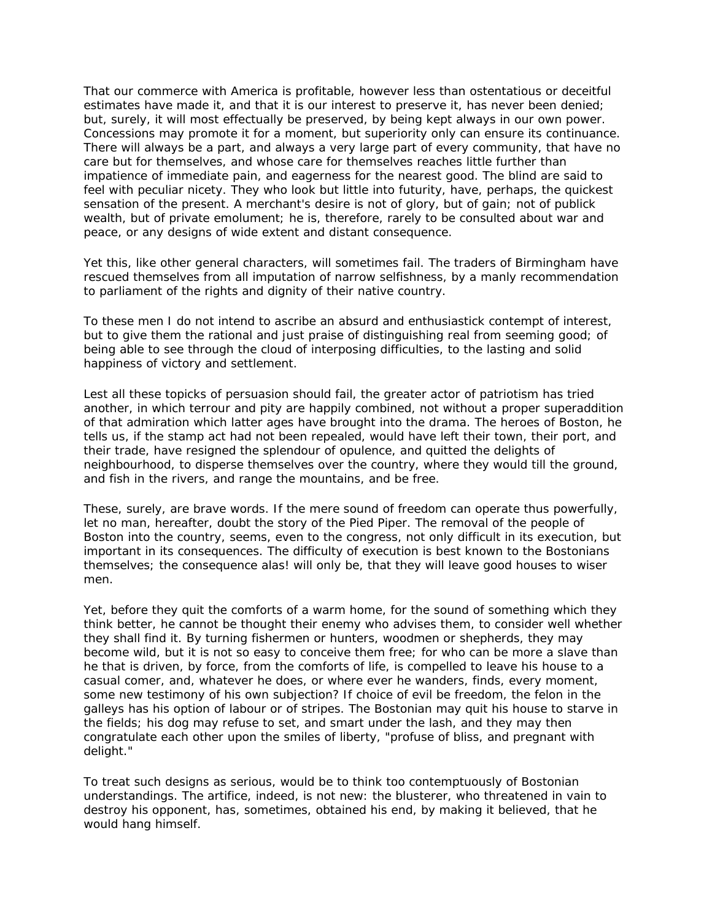That our commerce with America is profitable, however less than ostentatious or deceitful estimates have made it, and that it is our interest to preserve it, has never been denied; but, surely, it will most effectually be preserved, by being kept always in our own power. Concessions may promote it for a moment, but superiority only can ensure its continuance. There will always be a part, and always a very large part of every community, that have no care but for themselves, and whose care for themselves reaches little further than impatience of immediate pain, and eagerness for the nearest good. The blind are said to feel with peculiar nicety. They who look but little into futurity, have, perhaps, the quickest sensation of the present. A merchant's desire is not of glory, but of gain; not of publick wealth, but of private emolument; he is, therefore, rarely to be consulted about war and peace, or any designs of wide extent and distant consequence.

Yet this, like other general characters, will sometimes fail. The traders of Birmingham have rescued themselves from all imputation of narrow selfishness, by a manly recommendation to parliament of the rights and dignity of their native country.

To these men I do not intend to ascribe an absurd and enthusiastick contempt of interest, but to give them the rational and just praise of distinguishing real from seeming good; of being able to see through the cloud of interposing difficulties, to the lasting and solid happiness of victory and settlement.

Lest all these topicks of persuasion should fail, the greater actor of patriotism has tried another, in which terrour and pity are happily combined, not without a proper superaddition of that admiration which latter ages have brought into the drama. The heroes of Boston, he tells us, if the stamp act had not been repealed, would have left their town, their port, and their trade, have resigned the splendour of opulence, and quitted the delights of neighbourhood, to disperse themselves over the country, where they would till the ground, and fish in the rivers, and range the mountains, and be free.

These, surely, are brave words. If the mere sound of freedom can operate thus powerfully, let no man, hereafter, doubt the story of the Pied Piper. The removal of the people of Boston into the country, seems, even to the congress, not only difficult in its execution, but important in its consequences. The difficulty of execution is best known to the Bostonians themselves; the consequence alas! will only be, that they will leave good houses to wiser men.

Yet, before they quit the comforts of a warm home, for the sound of something which they think better, he cannot be thought their enemy who advises them, to consider well whether they shall find it. By turning fishermen or hunters, woodmen or shepherds, they may become wild, but it is not so easy to conceive them free; for who can be more a slave than he that is driven, by force, from the comforts of life, is compelled to leave his house to a casual comer, and, whatever he does, or where ever he wanders, finds, every moment, some new testimony of his own subjection? If choice of evil be freedom, the felon in the galleys has his option of labour or of stripes. The Bostonian may quit his house to starve in the fields; his dog may refuse to set, and smart under the lash, and they may then congratulate each other upon the smiles of liberty, "profuse of bliss, and pregnant with delight."

To treat such designs as serious, would be to think too contemptuously of Bostonian understandings. The artifice, indeed, is not new: the blusterer, who threatened in vain to destroy his opponent, has, sometimes, obtained his end, by making it believed, that he would hang himself.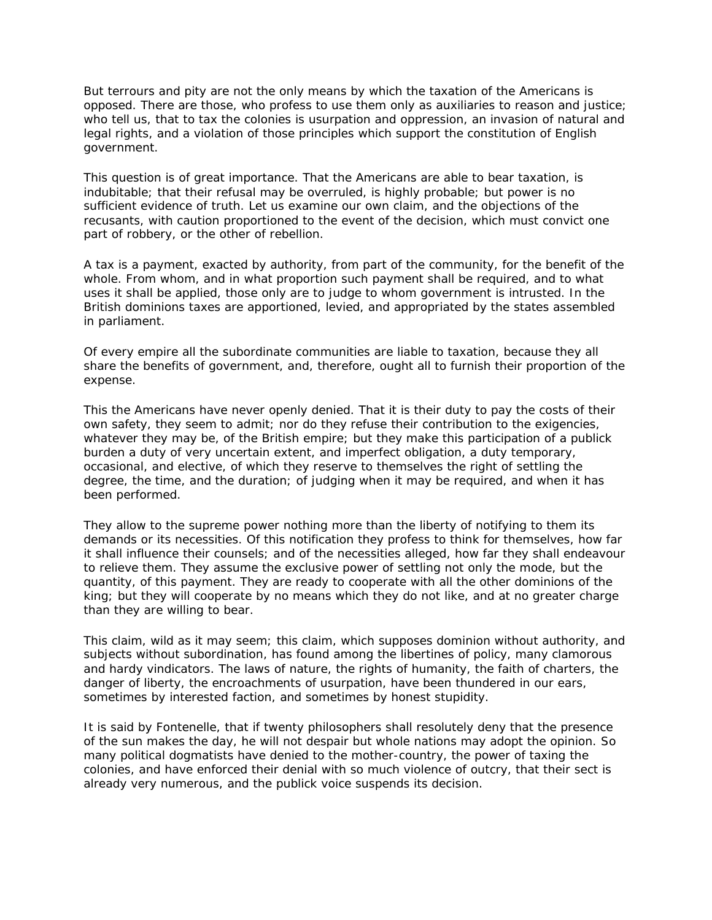But terrours and pity are not the only means by which the taxation of the Americans is opposed. There are those, who profess to use them only as auxiliaries to reason and justice; who tell us, that to tax the colonies is usurpation and oppression, an invasion of natural and legal rights, and a violation of those principles which support the constitution of English government.

This question is of great importance. That the Americans are able to bear taxation, is indubitable; that their refusal may be overruled, is highly probable; but power is no sufficient evidence of truth. Let us examine our own claim, and the objections of the recusants, with caution proportioned to the event of the decision, which must convict one part of robbery, or the other of rebellion.

A tax is a payment, exacted by authority, from part of the community, for the benefit of the whole. From whom, and in what proportion such payment shall be required, and to what uses it shall be applied, those only are to judge to whom government is intrusted. In the British dominions taxes are apportioned, levied, and appropriated by the states assembled in parliament.

Of every empire all the subordinate communities are liable to taxation, because they all share the benefits of government, and, therefore, ought all to furnish their proportion of the expense.

This the Americans have never openly denied. That it is their duty to pay the costs of their own safety, they seem to admit; nor do they refuse their contribution to the exigencies, whatever they may be, of the British empire; but they make this participation of a publick burden a duty of very uncertain extent, and imperfect obligation, a duty temporary, occasional, and elective, of which they reserve to themselves the right of settling the degree, the time, and the duration; of judging when it may be required, and when it has been performed.

They allow to the supreme power nothing more than the liberty of notifying to them its demands or its necessities. Of this notification they profess to think for themselves, how far it shall influence their counsels; and of the necessities alleged, how far they shall endeavour to relieve them. They assume the exclusive power of settling not only the mode, but the quantity, of this payment. They are ready to cooperate with all the other dominions of the king; but they will cooperate by no means which they do not like, and at no greater charge than they are willing to bear.

This claim, wild as it may seem; this claim, which supposes dominion without authority, and subjects without subordination, has found among the libertines of policy, many clamorous and hardy vindicators. The laws of nature, the rights of humanity, the faith of charters, the danger of liberty, the encroachments of usurpation, have been thundered in our ears, sometimes by interested faction, and sometimes by honest stupidity.

It is said by Fontenelle, that if twenty philosophers shall resolutely deny that the presence of the sun makes the day, he will not despair but whole nations may adopt the opinion. So many political dogmatists have denied to the mother-country, the power of taxing the colonies, and have enforced their denial with so much violence of outcry, that their sect is already very numerous, and the publick voice suspends its decision.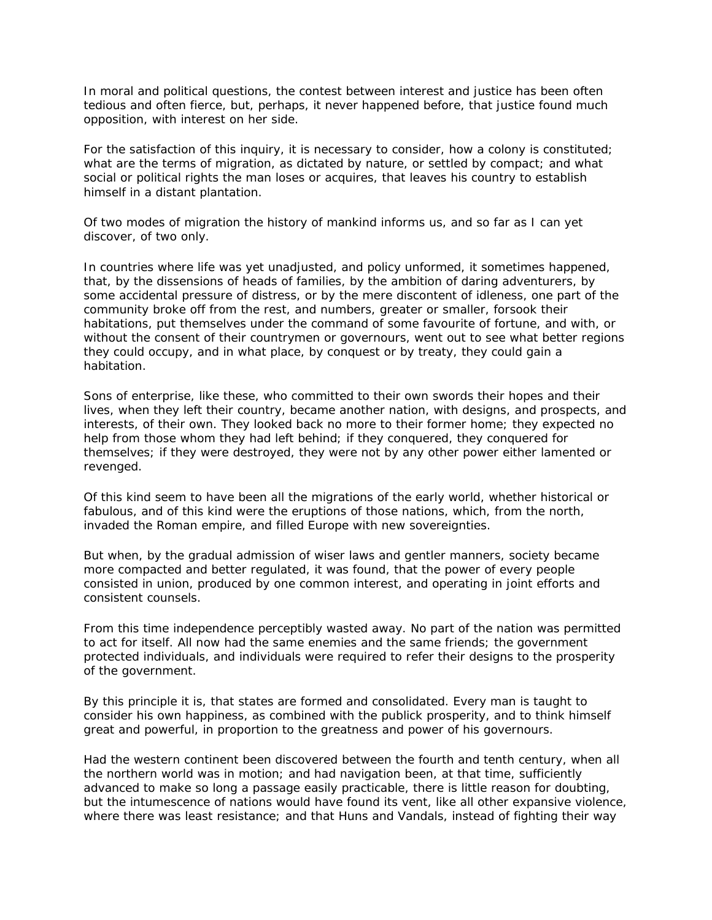In moral and political questions, the contest between interest and justice has been often tedious and often fierce, but, perhaps, it never happened before, that justice found much opposition, with interest on her side.

For the satisfaction of this inquiry, it is necessary to consider, how a colony is constituted; what are the terms of migration, as dictated by nature, or settled by compact; and what social or political rights the man loses or acquires, that leaves his country to establish himself in a distant plantation.

Of two modes of migration the history of mankind informs us, and so far as I can yet discover, of two only.

In countries where life was yet unadjusted, and policy unformed, it sometimes happened, that, by the dissensions of heads of families, by the ambition of daring adventurers, by some accidental pressure of distress, or by the mere discontent of idleness, one part of the community broke off from the rest, and numbers, greater or smaller, forsook their habitations, put themselves under the command of some favourite of fortune, and with, or without the consent of their countrymen or governours, went out to see what better regions they could occupy, and in what place, by conquest or by treaty, they could gain a habitation.

Sons of enterprise, like these, who committed to their own swords their hopes and their lives, when they left their country, became another nation, with designs, and prospects, and interests, of their own. They looked back no more to their former home; they expected no help from those whom they had left behind; if they conquered, they conquered for themselves; if they were destroyed, they were not by any other power either lamented or revenged.

Of this kind seem to have been all the migrations of the early world, whether historical or fabulous, and of this kind were the eruptions of those nations, which, from the north, invaded the Roman empire, and filled Europe with new sovereignties.

But when, by the gradual admission of wiser laws and gentler manners, society became more compacted and better regulated, it was found, that the power of every people consisted in union, produced by one common interest, and operating in joint efforts and consistent counsels.

From this time independence perceptibly wasted away. No part of the nation was permitted to act for itself. All now had the same enemies and the same friends; the government protected individuals, and individuals were required to refer their designs to the prosperity of the government.

By this principle it is, that states are formed and consolidated. Every man is taught to consider his own happiness, as combined with the publick prosperity, and to think himself great and powerful, in proportion to the greatness and power of his governours.

Had the western continent been discovered between the fourth and tenth century, when all the northern world was in motion; and had navigation been, at that time, sufficiently advanced to make so long a passage easily practicable, there is little reason for doubting, but the intumescence of nations would have found its vent, like all other expansive violence, where there was least resistance; and that Huns and Vandals, instead of fighting their way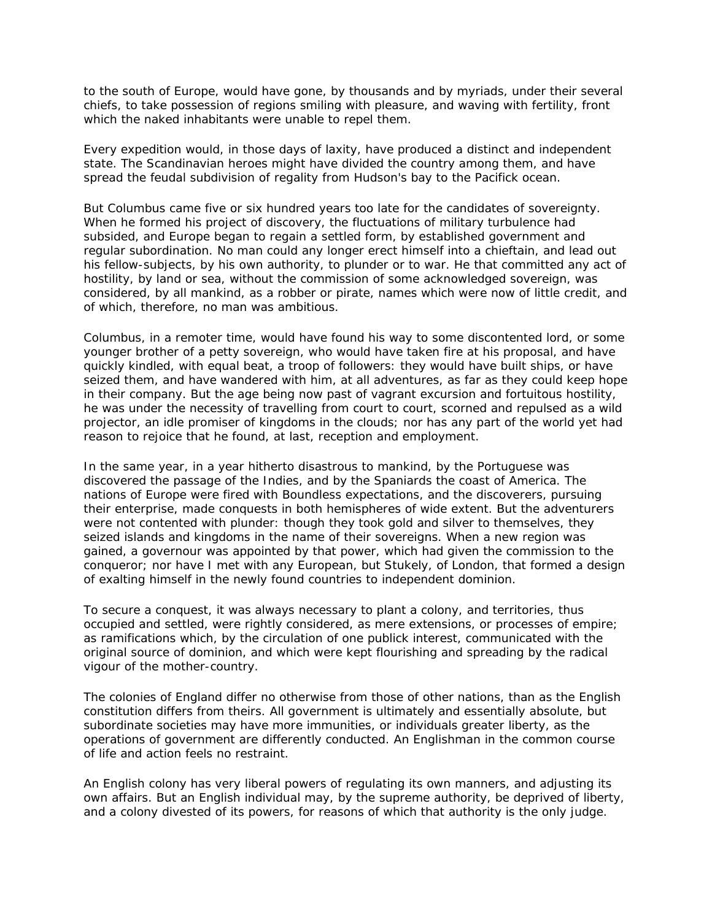to the south of Europe, would have gone, by thousands and by myriads, under their several chiefs, to take possession of regions smiling with pleasure, and waving with fertility, front which the naked inhabitants were unable to repel them.

Every expedition would, in those days of laxity, have produced a distinct and independent state. The Scandinavian heroes might have divided the country among them, and have spread the feudal subdivision of regality from Hudson's bay to the Pacifick ocean.

But Columbus came five or six hundred years too late for the candidates of sovereignty. When he formed his project of discovery, the fluctuations of military turbulence had subsided, and Europe began to regain a settled form, by established government and regular subordination. No man could any longer erect himself into a chieftain, and lead out his fellow-subjects, by his own authority, to plunder or to war. He that committed any act of hostility, by land or sea, without the commission of some acknowledged sovereign, was considered, by all mankind, as a robber or pirate, names which were now of little credit, and of which, therefore, no man was ambitious.

Columbus, in a remoter time, would have found his way to some discontented lord, or some younger brother of a petty sovereign, who would have taken fire at his proposal, and have quickly kindled, with equal beat, a troop of followers: they would have built ships, or have seized them, and have wandered with him, at all adventures, as far as they could keep hope in their company. But the age being now past of vagrant excursion and fortuitous hostility, he was under the necessity of travelling from court to court, scorned and repulsed as a wild projector, an idle promiser of kingdoms in the clouds; nor has any part of the world yet had reason to rejoice that he found, at last, reception and employment.

In the same year, in a year hitherto disastrous to mankind, by the Portuguese was discovered the passage of the Indies, and by the Spaniards the coast of America. The nations of Europe were fired with Boundless expectations, and the discoverers, pursuing their enterprise, made conquests in both hemispheres of wide extent. But the adventurers were not contented with plunder: though they took gold and silver to themselves, they seized islands and kingdoms in the name of their sovereigns. When a new region was gained, a governour was appointed by that power, which had given the commission to the conqueror; nor have I met with any European, but Stukely, of London, that formed a design of exalting himself in the newly found countries to independent dominion.

To secure a conquest, it was always necessary to plant a colony, and territories, thus occupied and settled, were rightly considered, as mere extensions, or processes of empire; as ramifications which, by the circulation of one publick interest, communicated with the original source of dominion, and which were kept flourishing and spreading by the radical vigour of the mother-country.

The colonies of England differ no otherwise from those of other nations, than as the English constitution differs from theirs. All government is ultimately and essentially absolute, but subordinate societies may have more immunities, or individuals greater liberty, as the operations of government are differently conducted. An Englishman in the common course of life and action feels no restraint.

An English colony has very liberal powers of regulating its own manners, and adjusting its own affairs. But an English individual may, by the supreme authority, be deprived of liberty, and a colony divested of its powers, for reasons of which that authority is the only judge.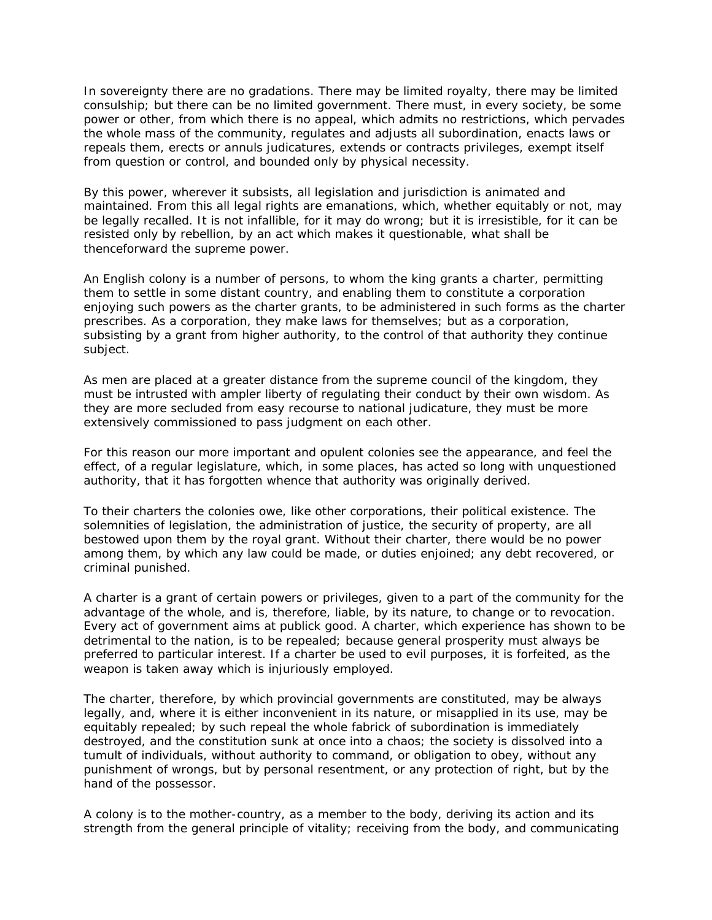In sovereignty there are no gradations. There may be limited royalty, there may be limited consulship; but there can be no limited government. There must, in every society, be some power or other, from which there is no appeal, which admits no restrictions, which pervades the whole mass of the community, regulates and adjusts all subordination, enacts laws or repeals them, erects or annuls judicatures, extends or contracts privileges, exempt itself from question or control, and bounded only by physical necessity.

By this power, wherever it subsists, all legislation and jurisdiction is animated and maintained. From this all legal rights are emanations, which, whether equitably or not, may be legally recalled. It is not infallible, for it may do wrong; but it is irresistible, for it can be resisted only by rebellion, by an act which makes it questionable, what shall be thenceforward the supreme power.

An English colony is a number of persons, to whom the king grants a charter, permitting them to settle in some distant country, and enabling them to constitute a corporation enjoying such powers as the charter grants, to be administered in such forms as the charter prescribes. As a corporation, they make laws for themselves; but as a corporation, subsisting by a grant from higher authority, to the control of that authority they continue subject.

As men are placed at a greater distance from the supreme council of the kingdom, they must be intrusted with ampler liberty of regulating their conduct by their own wisdom. As they are more secluded from easy recourse to national judicature, they must be more extensively commissioned to pass judgment on each other.

For this reason our more important and opulent colonies see the appearance, and feel the effect, of a regular legislature, which, in some places, has acted so long with unquestioned authority, that it has forgotten whence that authority was originally derived.

To their charters the colonies owe, like other corporations, their political existence. The solemnities of legislation, the administration of justice, the security of property, are all bestowed upon them by the royal grant. Without their charter, there would be no power among them, by which any law could be made, or duties enjoined; any debt recovered, or criminal punished.

A charter is a grant of certain powers or privileges, given to a part of the community for the advantage of the whole, and is, therefore, liable, by its nature, to change or to revocation. Every act of government aims at publick good. A charter, which experience has shown to be detrimental to the nation, is to be repealed; because general prosperity must always be preferred to particular interest. If a charter be used to evil purposes, it is forfeited, as the weapon is taken away which is injuriously employed.

The charter, therefore, by which provincial governments are constituted, may be always legally, and, where it is either inconvenient in its nature, or misapplied in its use, may be equitably repealed; by such repeal the whole fabrick of subordination is immediately destroyed, and the constitution sunk at once into a chaos; the society is dissolved into a tumult of individuals, without authority to command, or obligation to obey, without any punishment of wrongs, but by personal resentment, or any protection of right, but by the hand of the possessor.

A colony is to the mother-country, as a member to the body, deriving its action and its strength from the general principle of vitality; receiving from the body, and communicating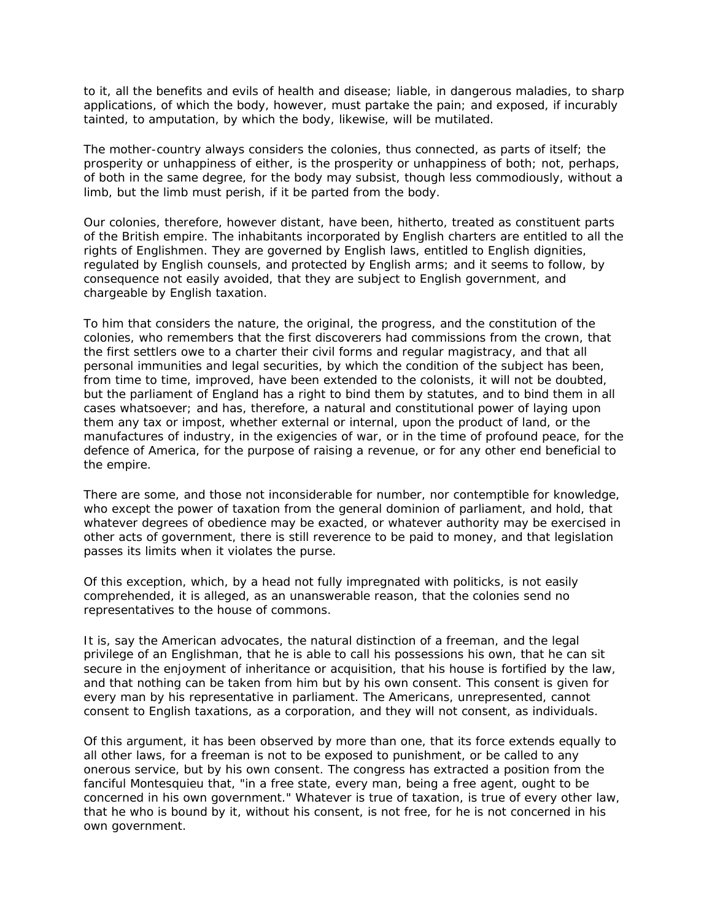to it, all the benefits and evils of health and disease; liable, in dangerous maladies, to sharp applications, of which the body, however, must partake the pain; and exposed, if incurably tainted, to amputation, by which the body, likewise, will be mutilated.

The mother-country always considers the colonies, thus connected, as parts of itself; the prosperity or unhappiness of either, is the prosperity or unhappiness of both; not, perhaps, of both in the same degree, for the body may subsist, though less commodiously, without a limb, but the limb must perish, if it be parted from the body.

Our colonies, therefore, however distant, have been, hitherto, treated as constituent parts of the British empire. The inhabitants incorporated by English charters are entitled to all the rights of Englishmen. They are governed by English laws, entitled to English dignities, regulated by English counsels, and protected by English arms; and it seems to follow, by consequence not easily avoided, that they are subject to English government, and chargeable by English taxation.

To him that considers the nature, the original, the progress, and the constitution of the colonies, who remembers that the first discoverers had commissions from the crown, that the first settlers owe to a charter their civil forms and regular magistracy, and that all personal immunities and legal securities, by which the condition of the subject has been, from time to time, improved, have been extended to the colonists, it will not be doubted, but the parliament of England has a right to bind them by statutes, and to bind them in all cases whatsoever; and has, therefore, a natural and constitutional power of laying upon them any tax or impost, whether external or internal, upon the product of land, or the manufactures of industry, in the exigencies of war, or in the time of profound peace, for the defence of America, for the purpose of raising a revenue, or for any other end beneficial to the empire.

There are some, and those not inconsiderable for number, nor contemptible for knowledge, who except the power of taxation from the general dominion of parliament, and hold, that whatever degrees of obedience may be exacted, or whatever authority may be exercised in other acts of government, there is still reverence to be paid to money, and that legislation passes its limits when it violates the purse.

Of this exception, which, by a head not fully impregnated with politicks, is not easily comprehended, it is alleged, as an unanswerable reason, that the colonies send no representatives to the house of commons.

It is, say the American advocates, the natural distinction of a freeman, and the legal privilege of an Englishman, that he is able to call his possessions his own, that he can sit secure in the enjoyment of inheritance or acquisition, that his house is fortified by the law, and that nothing can be taken from him but by his own consent. This consent is given for every man by his representative in parliament. The Americans, unrepresented, cannot consent to English taxations, as a corporation, and they will not consent, as individuals.

Of this argument, it has been observed by more than one, that its force extends equally to all other laws, for a freeman is not to be exposed to punishment, or be called to any onerous service, but by his own consent. The congress has extracted a position from the fanciful Montesquieu that, "in a free state, every man, being a free agent, ought to be concerned in his own government." Whatever is true of taxation, is true of every other law, that he who is bound by it, without his consent, is not free, for he is not concerned in his own government.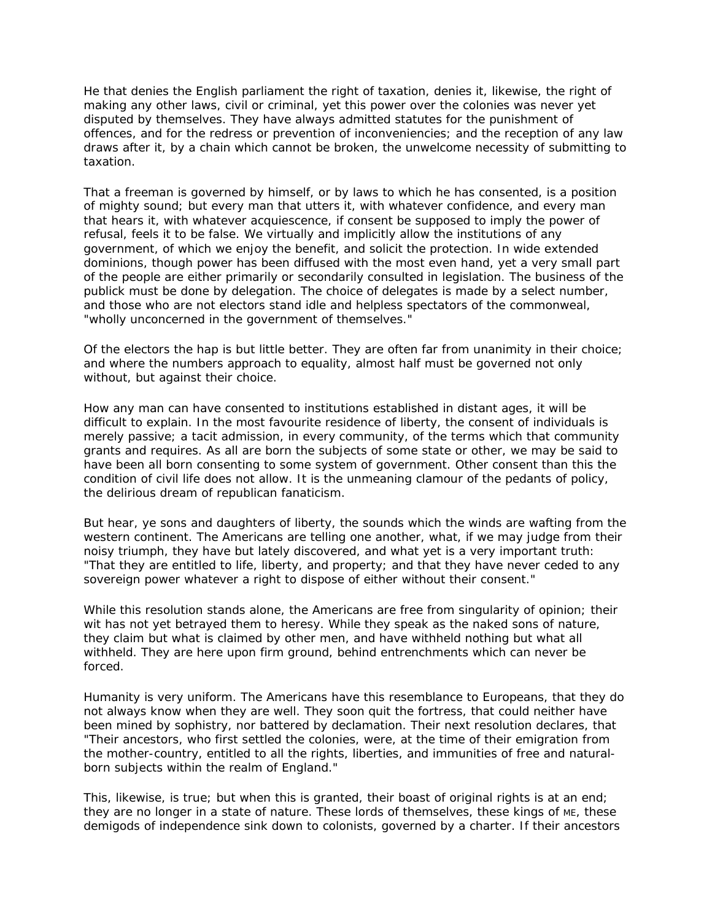He that denies the English parliament the right of taxation, denies it, likewise, the right of making any other laws, civil or criminal, yet this power over the colonies was never yet disputed by themselves. They have always admitted statutes for the punishment of offences, and for the redress or prevention of inconveniencies; and the reception of any law draws after it, by a chain which cannot be broken, the unwelcome necessity of submitting to taxation.

That a freeman is governed by himself, or by laws to which he has consented, is a position of mighty sound; but every man that utters it, with whatever confidence, and every man that hears it, with whatever acquiescence, if consent be supposed to imply the power of refusal, feels it to be false. We virtually and implicitly allow the institutions of any government, of which we enjoy the benefit, and solicit the protection. In wide extended dominions, though power has been diffused with the most even hand, yet a very small part of the people are either primarily or secondarily consulted in legislation. The business of the publick must be done by delegation. The choice of delegates is made by a select number, and those who are not electors stand idle and helpless spectators of the commonweal, "wholly unconcerned in the government of themselves."

Of the electors the hap is but little better. They are often far from unanimity in their choice; and where the numbers approach to equality, almost half must be governed not only without, but against their choice.

How any man can have consented to institutions established in distant ages, it will be difficult to explain. In the most favourite residence of liberty, the consent of individuals is merely passive; a tacit admission, in every community, of the terms which that community grants and requires. As all are born the subjects of some state or other, we may be said to have been all born consenting to some system of government. Other consent than this the condition of civil life does not allow. It is the unmeaning clamour of the pedants of policy, the delirious dream of republican fanaticism.

But hear, ye sons and daughters of liberty, the sounds which the winds are wafting from the western continent. The Americans are telling one another, what, if we may judge from their noisy triumph, they have but lately discovered, and what yet is a very important truth: "That they are entitled to life, liberty, and property; and that they have never ceded to any sovereign power whatever a right to dispose of either without their consent."

While this resolution stands alone, the Americans are free from singularity of opinion; their wit has not yet betrayed them to heresy. While they speak as the naked sons of nature, they claim but what is claimed by other men, and have withheld nothing but what all withheld. They are here upon firm ground, behind entrenchments which can never be forced.

Humanity is very uniform. The Americans have this resemblance to Europeans, that they do not always know when they are well. They soon quit the fortress, that could neither have been mined by sophistry, nor battered by declamation. Their next resolution declares, that "Their ancestors, who first settled the colonies, were, at the time of their emigration from the mother-country, entitled to all the rights, liberties, and immunities of free and naturalborn subjects within the realm of England."

This, likewise, is true; but when this is granted, their boast of original rights is at an end; they are no longer in a state of nature. These lords of themselves, these kings of ME, these demigods of independence sink down to colonists, governed by a charter. If their ancestors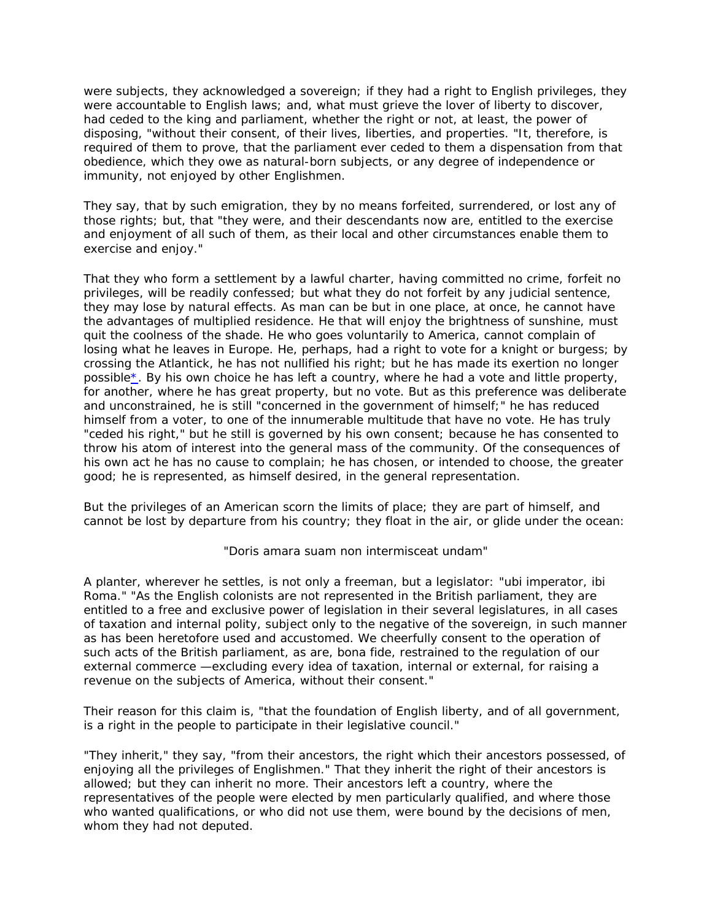were subjects, they acknowledged a sovereign; if they had a right to English privileges, they were accountable to English laws; and, what must grieve the lover of liberty to discover, had ceded to the king and parliament, whether the right or not, at least, the power of disposing, "without their consent, of their lives, liberties, and properties. "It, therefore, is required of them to prove, that the parliament ever ceded to them a dispensation from that obedience, which they owe as natural-born subjects, or any degree of independence or immunity, not enjoyed by other Englishmen.

They say, that by such emigration, they by no means forfeited, surrendered, or lost any of those rights; but, that "they were, and their descendants now are, entitled to the exercise and enjoyment of all such of them, as their local and other circumstances enable them to exercise and enjoy."

That they who form a settlement by a lawful charter, having committed no crime, forfeit no privileges, will be readily confessed; but what they do not forfeit by any judicial sentence, they may lose by natural effects. As man can be but in one place, at once, he cannot have the advantages of multiplied residence. He that will enjoy the brightness of sunshine, must quit the coolness of the shade. He who goes voluntarily to America, cannot complain of losing what he leaves in Europe. He, perhaps, had a right to vote for a knight or burgess; by crossing the Atlantick, he has not nullified his right; but he has made its exertion no longer possibl[e\\*.](http://www.samueljohnson.com/tntnote.html) By his own choice he has left a country, where he had a vote and little property, for another, where he has great property, but no vote. But as this preference was deliberate and unconstrained, he is still "concerned in the government of himself;" he has reduced himself from a voter, to one of the innumerable multitude that have no vote. He has truly "ceded his right," but he still is governed by his own consent; because he has consented to throw his atom of interest into the general mass of the community. Of the consequences of his own act he has no cause to complain; he has chosen, or intended to choose, the greater good; he is represented, as himself desired, in the general representation.

But the privileges of an American scorn the limits of place; they are part of himself, and cannot be lost by departure from his country; they float in the air, or glide under the ocean:

"Doris amara suam non intermisceat undam"

A planter, wherever he settles, is not only a freeman, but a legislator: "ubi imperator, ibi Roma." "As the English colonists are not represented in the British parliament, they are entitled to a free and exclusive power of legislation in their several legislatures, in all cases of taxation and internal polity, subject only to the negative of the sovereign, in such manner as has been heretofore used and accustomed. We cheerfully consent to the operation of such acts of the British parliament, as are, bona fide, restrained to the regulation of our external commerce —excluding every idea of taxation, internal or external, for raising a revenue on the subjects of America, without their consent."

Their reason for this claim is, "that the foundation of English liberty, and of all government, is a right in the people to participate in their legislative council."

"They inherit," they say, "from their ancestors, the right which their ancestors possessed, of enjoying all the privileges of Englishmen." That they inherit the right of their ancestors is allowed; but they can inherit no more. Their ancestors left a country, where the representatives of the people were elected by men particularly qualified, and where those who wanted qualifications, or who did not use them, were bound by the decisions of men, whom they had not deputed.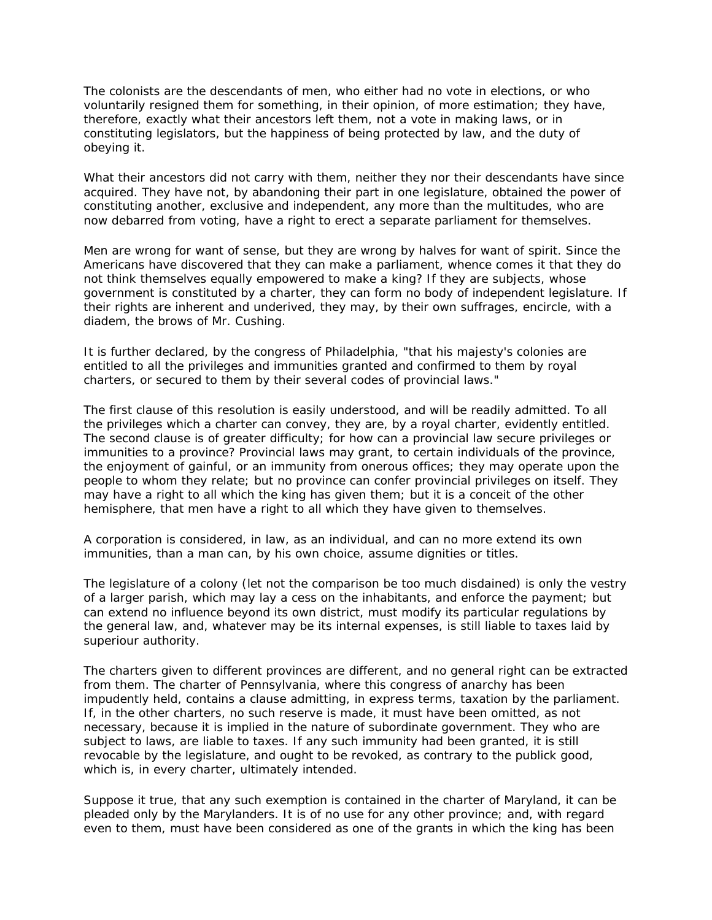The colonists are the descendants of men, who either had no vote in elections, or who voluntarily resigned them for something, in their opinion, of more estimation; they have, therefore, exactly what their ancestors left them, not a vote in making laws, or in constituting legislators, but the happiness of being protected by law, and the duty of obeying it.

What their ancestors did not carry with them, neither they nor their descendants have since acquired. They have not, by abandoning their part in one legislature, obtained the power of constituting another, exclusive and independent, any more than the multitudes, who are now debarred from voting, have a right to erect a separate parliament for themselves.

Men are wrong for want of sense, but they are wrong by halves for want of spirit. Since the Americans have discovered that they can make a parliament, whence comes it that they do not think themselves equally empowered to make a king? If they are subjects, whose government is constituted by a charter, they can form no body of independent legislature. If their rights are inherent and underived, they may, by their own suffrages, encircle, with a diadem, the brows of Mr. Cushing.

It is further declared, by the congress of Philadelphia, "that his majesty's colonies are entitled to all the privileges and immunities granted and confirmed to them by royal charters, or secured to them by their several codes of provincial laws."

The first clause of this resolution is easily understood, and will be readily admitted. To all the privileges which a charter can convey, they are, by a royal charter, evidently entitled. The second clause is of greater difficulty; for how can a provincial law secure privileges or immunities to a province? Provincial laws may grant, to certain individuals of the province, the enjoyment of gainful, or an immunity from onerous offices; they may operate upon the people to whom they relate; but no province can confer provincial privileges on itself. They may have a right to all which the king has given them; but it is a conceit of the other hemisphere, that men have a right to all which they have given to themselves.

A corporation is considered, in law, as an individual, and can no more extend its own immunities, than a man can, by his own choice, assume dignities or titles.

The legislature of a colony (let not the comparison be too much disdained) is only the vestry of a larger parish, which may lay a cess on the inhabitants, and enforce the payment; but can extend no influence beyond its own district, must modify its particular regulations by the general law, and, whatever may be its internal expenses, is still liable to taxes laid by superiour authority.

The charters given to different provinces are different, and no general right can be extracted from them. The charter of Pennsylvania, where this congress of anarchy has been impudently held, contains a clause admitting, in express terms, taxation by the parliament. If, in the other charters, no such reserve is made, it must have been omitted, as not necessary, because it is implied in the nature of subordinate government. They who are subject to laws, are liable to taxes. If any such immunity had been granted, it is still revocable by the legislature, and ought to be revoked, as contrary to the publick good, which is, in every charter, ultimately intended.

Suppose it true, that any such exemption is contained in the charter of Maryland, it can be pleaded only by the Marylanders. It is of no use for any other province; and, with regard even to them, must have been considered as one of the grants in which the king has been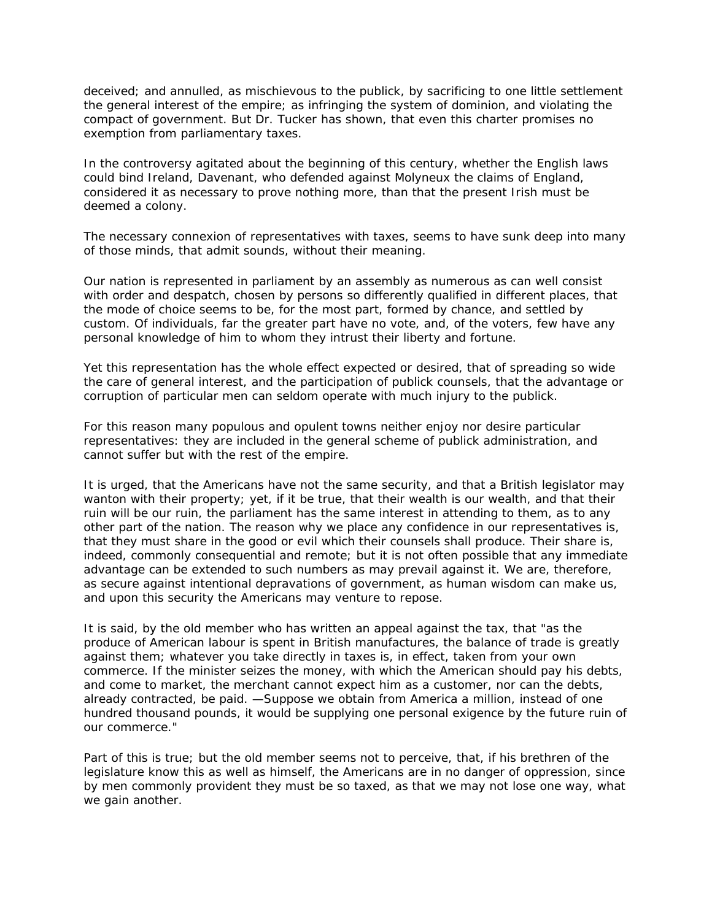deceived; and annulled, as mischievous to the publick, by sacrificing to one little settlement the general interest of the empire; as infringing the system of dominion, and violating the compact of government. But Dr. Tucker has shown, that even this charter promises no exemption from parliamentary taxes.

In the controversy agitated about the beginning of this century, whether the English laws could bind Ireland, Davenant, who defended against Molyneux the claims of England, considered it as necessary to prove nothing more, than that the present Irish must be deemed a colony.

The necessary connexion of representatives with taxes, seems to have sunk deep into many of those minds, that admit sounds, without their meaning.

Our nation is represented in parliament by an assembly as numerous as can well consist with order and despatch, chosen by persons so differently qualified in different places, that the mode of choice seems to be, for the most part, formed by chance, and settled by custom. Of individuals, far the greater part have no vote, and, of the voters, few have any personal knowledge of him to whom they intrust their liberty and fortune.

Yet this representation has the whole effect expected or desired, that of spreading so wide the care of general interest, and the participation of publick counsels, that the advantage or corruption of particular men can seldom operate with much injury to the publick.

For this reason many populous and opulent towns neither enjoy nor desire particular representatives: they are included in the general scheme of publick administration, and cannot suffer but with the rest of the empire.

It is urged, that the Americans have not the same security, and that a British legislator may wanton with their property; yet, if it be true, that their wealth is our wealth, and that their ruin will be our ruin, the parliament has the same interest in attending to them, as to any other part of the nation. The reason why we place any confidence in our representatives is, that they must share in the good or evil which their counsels shall produce. Their share is, indeed, commonly consequential and remote; but it is not often possible that any immediate advantage can be extended to such numbers as may prevail against it. We are, therefore, as secure against intentional depravations of government, as human wisdom can make us, and upon this security the Americans may venture to repose.

It is said, by the old member who has written an appeal against the tax, that "as the produce of American labour is spent in British manufactures, the balance of trade is greatly against them; whatever you take directly in taxes is, in effect, taken from your own commerce. If the minister seizes the money, with which the American should pay his debts, and come to market, the merchant cannot expect him as a customer, nor can the debts, already contracted, be paid. —Suppose we obtain from America a million, instead of one hundred thousand pounds, it would be supplying one personal exigence by the future ruin of our commerce."

Part of this is true; but the old member seems not to perceive, that, if his brethren of the legislature know this as well as himself, the Americans are in no danger of oppression, since by men commonly provident they must be so taxed, as that we may not lose one way, what we gain another.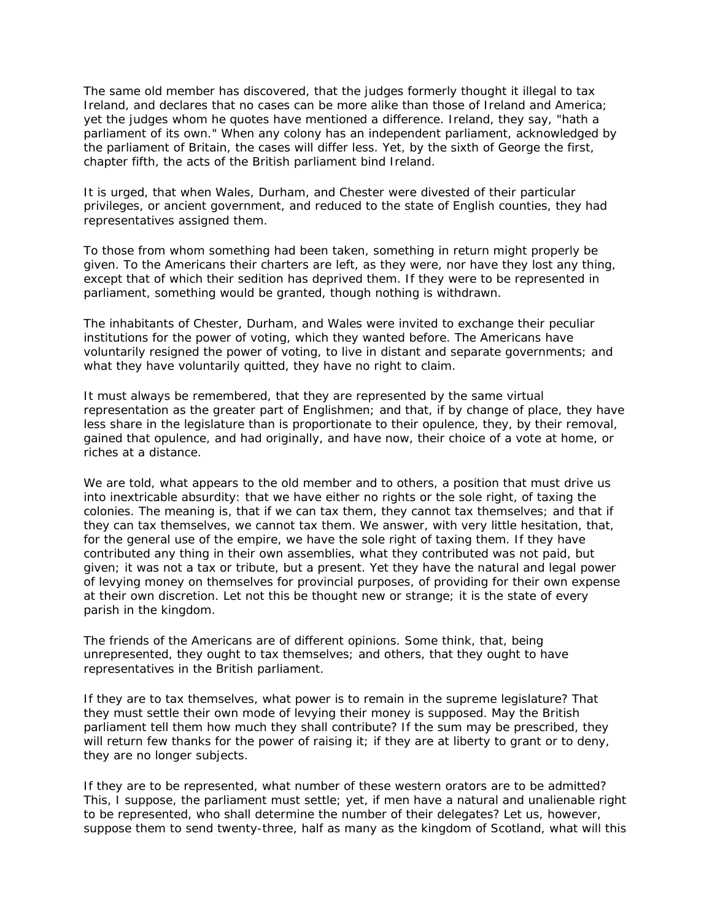The same old member has discovered, that the judges formerly thought it illegal to tax Ireland, and declares that no cases can be more alike than those of Ireland and America; yet the judges whom he quotes have mentioned a difference. Ireland, they say, "hath a parliament of its own." When any colony has an independent parliament, acknowledged by the parliament of Britain, the cases will differ less. Yet, by the sixth of George the first, chapter fifth, the acts of the British parliament bind Ireland.

It is urged, that when Wales, Durham, and Chester were divested of their particular privileges, or ancient government, and reduced to the state of English counties, they had representatives assigned them.

To those from whom something had been taken, something in return might properly be given. To the Americans their charters are left, as they were, nor have they lost any thing, except that of which their sedition has deprived them. If they were to be represented in parliament, something would be granted, though nothing is withdrawn.

The inhabitants of Chester, Durham, and Wales were invited to exchange their peculiar institutions for the power of voting, which they wanted before. The Americans have voluntarily resigned the power of voting, to live in distant and separate governments; and what they have voluntarily quitted, they have no right to claim.

It must always be remembered, that they are represented by the same virtual representation as the greater part of Englishmen; and that, if by change of place, they have less share in the legislature than is proportionate to their opulence, they, by their removal, gained that opulence, and had originally, and have now, their choice of a vote at home, or riches at a distance.

We are told, what appears to the old member and to others, a position that must drive us into inextricable absurdity: that we have either no rights or the sole right, of taxing the colonies. The meaning is, that if we can tax them, they cannot tax themselves; and that if they can tax themselves, we cannot tax them. We answer, with very little hesitation, that, for the general use of the empire, we have the sole right of taxing them. If they have contributed any thing in their own assemblies, what they contributed was not paid, but given; it was not a tax or tribute, but a present. Yet they have the natural and legal power of levying money on themselves for provincial purposes, of providing for their own expense at their own discretion. Let not this be thought new or strange; it is the state of every parish in the kingdom.

The friends of the Americans are of different opinions. Some think, that, being unrepresented, they ought to tax themselves; and others, that they ought to have representatives in the British parliament.

If they are to tax themselves, what power is to remain in the supreme legislature? That they must settle their own mode of levying their money is supposed. May the British parliament tell them how much they shall contribute? If the sum may be prescribed, they will return few thanks for the power of raising it; if they are at liberty to grant or to deny, they are no longer subjects.

If they are to be represented, what number of these western orators are to be admitted? This, I suppose, the parliament must settle; yet, if men have a natural and unalienable right to be represented, who shall determine the number of their delegates? Let us, however, suppose them to send twenty-three, half as many as the kingdom of Scotland, what will this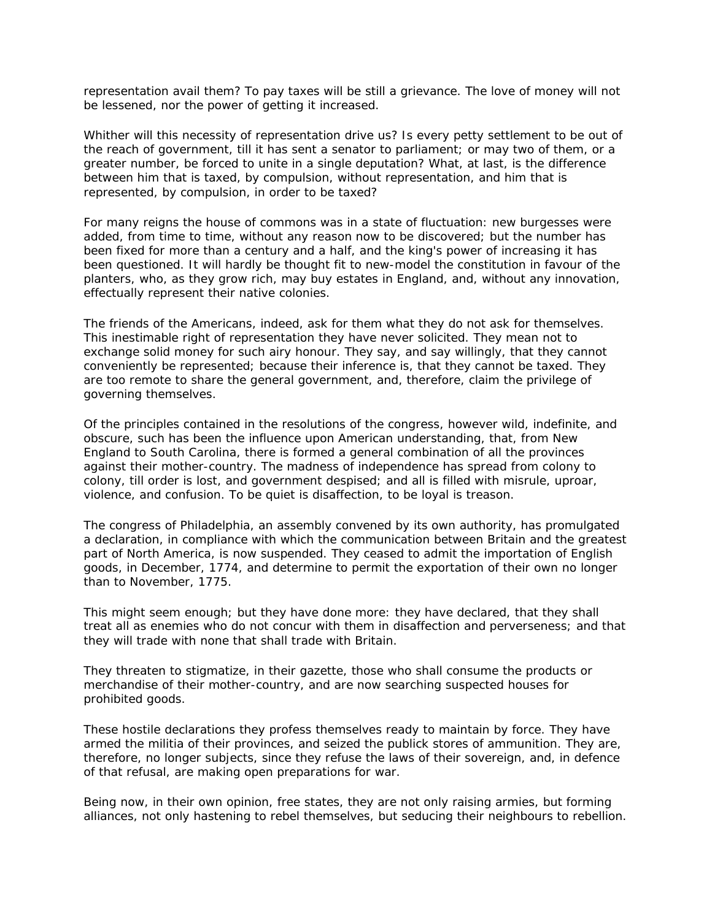representation avail them? To pay taxes will be still a grievance. The love of money will not be lessened, nor the power of getting it increased.

Whither will this necessity of representation drive us? Is every petty settlement to be out of the reach of government, till it has sent a senator to parliament; or may two of them, or a greater number, be forced to unite in a single deputation? What, at last, is the difference between him that is taxed, by compulsion, without representation, and him that is represented, by compulsion, in order to be taxed?

For many reigns the house of commons was in a state of fluctuation: new burgesses were added, from time to time, without any reason now to be discovered; but the number has been fixed for more than a century and a half, and the king's power of increasing it has been questioned. It will hardly be thought fit to new-model the constitution in favour of the planters, who, as they grow rich, may buy estates in England, and, without any innovation, effectually represent their native colonies.

The friends of the Americans, indeed, ask for them what they do not ask for themselves. This inestimable right of representation they have never solicited. They mean not to exchange solid money for such airy honour. They say, and say willingly, that they cannot conveniently be represented; because their inference is, that they cannot be taxed. They are too remote to share the general government, and, therefore, claim the privilege of governing themselves.

Of the principles contained in the resolutions of the congress, however wild, indefinite, and obscure, such has been the influence upon American understanding, that, from New England to South Carolina, there is formed a general combination of all the provinces against their mother-country. The madness of independence has spread from colony to colony, till order is lost, and government despised; and all is filled with misrule, uproar, violence, and confusion. To be quiet is disaffection, to be loyal is treason.

The congress of Philadelphia, an assembly convened by its own authority, has promulgated a declaration, in compliance with which the communication between Britain and the greatest part of North America, is now suspended. They ceased to admit the importation of English goods, in December, 1774, and determine to permit the exportation of their own no longer than to November, 1775.

This might seem enough; but they have done more: they have declared, that they shall treat all as enemies who do not concur with them in disaffection and perverseness; and that they will trade with none that shall trade with Britain.

They threaten to stigmatize, in their gazette, those who shall consume the products or merchandise of their mother-country, and are now searching suspected houses for prohibited goods.

These hostile declarations they profess themselves ready to maintain by force. They have armed the militia of their provinces, and seized the publick stores of ammunition. They are, therefore, no longer subjects, since they refuse the laws of their sovereign, and, in defence of that refusal, are making open preparations for war.

Being now, in their own opinion, free states, they are not only raising armies, but forming alliances, not only hastening to rebel themselves, but seducing their neighbours to rebellion.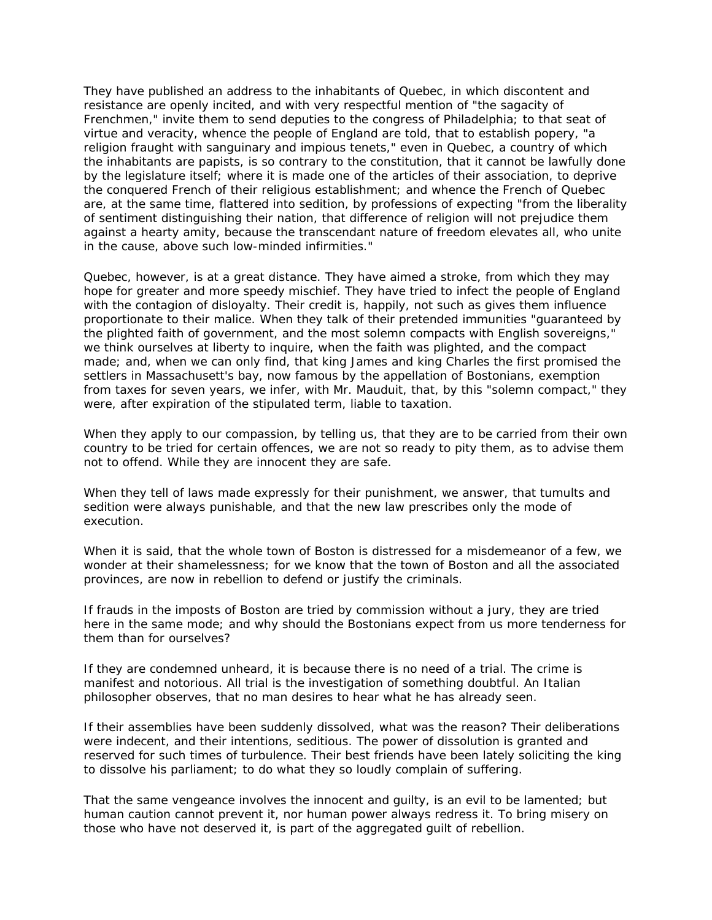They have published an address to the inhabitants of Quebec, in which discontent and resistance are openly incited, and with very respectful mention of "the sagacity of Frenchmen," invite them to send deputies to the congress of Philadelphia; to that seat of virtue and veracity, whence the people of England are told, that to establish popery, "a religion fraught with sanguinary and impious tenets," even in Quebec, a country of which the inhabitants are papists, is so contrary to the constitution, that it cannot be lawfully done by the legislature itself; where it is made one of the articles of their association, to deprive the conquered French of their religious establishment; and whence the French of Quebec are, at the same time, flattered into sedition, by professions of expecting "from the liberality of sentiment distinguishing their nation, that difference of religion will not prejudice them against a hearty amity, because the transcendant nature of freedom elevates all, who unite in the cause, above such low-minded infirmities."

Quebec, however, is at a great distance. They have aimed a stroke, from which they may hope for greater and more speedy mischief. They have tried to infect the people of England with the contagion of disloyalty. Their credit is, happily, not such as gives them influence proportionate to their malice. When they talk of their pretended immunities "guaranteed by the plighted faith of government, and the most solemn compacts with English sovereigns," we think ourselves at liberty to inquire, when the faith was plighted, and the compact made; and, when we can only find, that king James and king Charles the first promised the settlers in Massachusett's bay, now famous by the appellation of Bostonians, exemption from taxes for seven years, we infer, with Mr. Mauduit, that, by this "solemn compact," they were, after expiration of the stipulated term, liable to taxation.

When they apply to our compassion, by telling us, that they are to be carried from their own country to be tried for certain offences, we are not so ready to pity them, as to advise them not to offend. While they are innocent they are safe.

When they tell of laws made expressly for their punishment, we answer, that tumults and sedition were always punishable, and that the new law prescribes only the mode of execution.

When it is said, that the whole town of Boston is distressed for a misdemeanor of a few, we wonder at their shamelessness; for we know that the town of Boston and all the associated provinces, are now in rebellion to defend or justify the criminals.

If frauds in the imposts of Boston are tried by commission without a jury, they are tried here in the same mode; and why should the Bostonians expect from us more tenderness for them than for ourselves?

If they are condemned unheard, it is because there is no need of a trial. The crime is manifest and notorious. All trial is the investigation of something doubtful. An Italian philosopher observes, that no man desires to hear what he has already seen.

If their assemblies have been suddenly dissolved, what was the reason? Their deliberations were indecent, and their intentions, seditious. The power of dissolution is granted and reserved for such times of turbulence. Their best friends have been lately soliciting the king to dissolve his parliament; to do what they so loudly complain of suffering.

That the same vengeance involves the innocent and guilty, is an evil to be lamented; but human caution cannot prevent it, nor human power always redress it. To bring misery on those who have not deserved it, is part of the aggregated guilt of rebellion.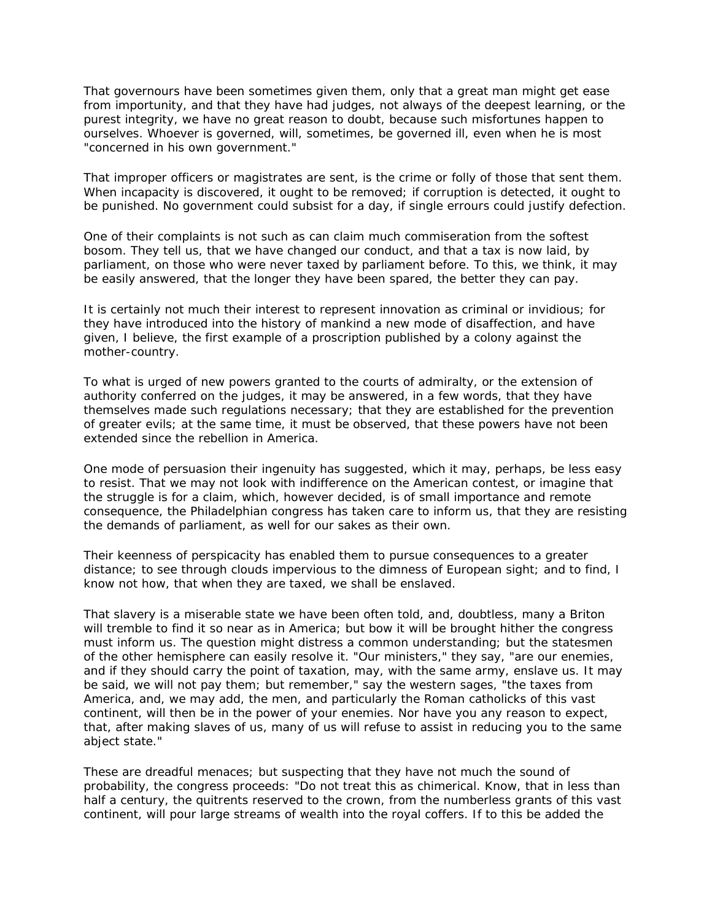That governours have been sometimes given them, only that a great man might get ease from importunity, and that they have had judges, not always of the deepest learning, or the purest integrity, we have no great reason to doubt, because such misfortunes happen to ourselves. Whoever is governed, will, sometimes, be governed ill, even when he is most "concerned in his own government."

That improper officers or magistrates are sent, is the crime or folly of those that sent them. When incapacity is discovered, it ought to be removed; if corruption is detected, it ought to be punished. No government could subsist for a day, if single errours could justify defection.

One of their complaints is not such as can claim much commiseration from the softest bosom. They tell us, that we have changed our conduct, and that a tax is now laid, by parliament, on those who were never taxed by parliament before. To this, we think, it may be easily answered, that the longer they have been spared, the better they can pay.

It is certainly not much their interest to represent innovation as criminal or invidious; for they have introduced into the history of mankind a new mode of disaffection, and have given, I believe, the first example of a proscription published by a colony against the mother-country.

To what is urged of new powers granted to the courts of admiralty, or the extension of authority conferred on the judges, it may be answered, in a few words, that they have themselves made such regulations necessary; that they are established for the prevention of greater evils; at the same time, it must be observed, that these powers have not been extended since the rebellion in America.

One mode of persuasion their ingenuity has suggested, which it may, perhaps, be less easy to resist. That we may not look with indifference on the American contest, or imagine that the struggle is for a claim, which, however decided, is of small importance and remote consequence, the Philadelphian congress has taken care to inform us, that they are resisting the demands of parliament, as well for our sakes as their own.

Their keenness of perspicacity has enabled them to pursue consequences to a greater distance; to see through clouds impervious to the dimness of European sight; and to find, I know not how, that when they are taxed, we shall be enslaved.

That slavery is a miserable state we have been often told, and, doubtless, many a Briton will tremble to find it so near as in America; but bow it will be brought hither the congress must inform us. The question might distress a common understanding; but the statesmen of the other hemisphere can easily resolve it. "Our ministers," they say, "are our enemies, and if they should carry the point of taxation, may, with the same army, enslave us. It may be said, we will not pay them; but remember," say the western sages, "the taxes from America, and, we may add, the men, and particularly the Roman catholicks of this vast continent, will then be in the power of your enemies. Nor have you any reason to expect, that, after making slaves of us, many of us will refuse to assist in reducing you to the same abject state."

These are dreadful menaces; but suspecting that they have not much the sound of probability, the congress proceeds: "Do not treat this as chimerical. Know, that in less than half a century, the quitrents reserved to the crown, from the numberless grants of this vast continent, will pour large streams of wealth into the royal coffers. If to this be added the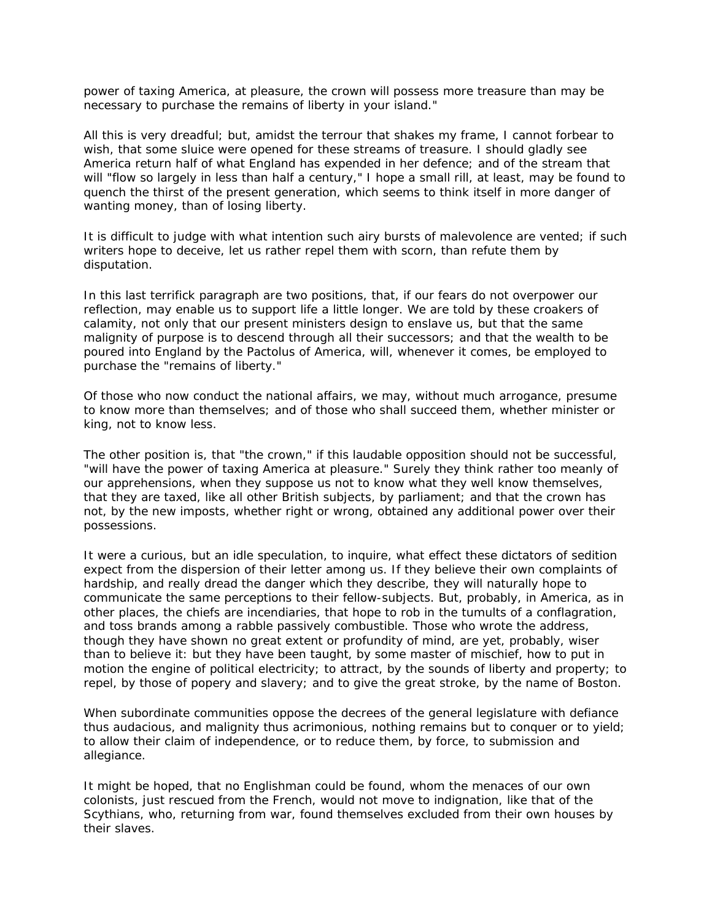power of taxing America, at pleasure, the crown will possess more treasure than may be necessary to purchase the remains of liberty in your island."

All this is very dreadful; but, amidst the terrour that shakes my frame, I cannot forbear to wish, that some sluice were opened for these streams of treasure. I should gladly see America return half of what England has expended in her defence; and of the stream that will "flow so largely in less than half a century," I hope a small rill, at least, may be found to quench the thirst of the present generation, which seems to think itself in more danger of wanting money, than of losing liberty.

It is difficult to judge with what intention such airy bursts of malevolence are vented; if such writers hope to deceive, let us rather repel them with scorn, than refute them by disputation.

In this last terrifick paragraph are two positions, that, if our fears do not overpower our reflection, may enable us to support life a little longer. We are told by these croakers of calamity, not only that our present ministers design to enslave us, but that the same malignity of purpose is to descend through all their successors; and that the wealth to be poured into England by the Pactolus of America, will, whenever it comes, be employed to purchase the "remains of liberty."

Of those who now conduct the national affairs, we may, without much arrogance, presume to know more than themselves; and of those who shall succeed them, whether minister or king, not to know less.

The other position is, that "the crown," if this laudable opposition should not be successful, "will have the power of taxing America at pleasure." Surely they think rather too meanly of our apprehensions, when they suppose us not to know what they well know themselves, that they are taxed, like all other British subjects, by parliament; and that the crown has not, by the new imposts, whether right or wrong, obtained any additional power over their possessions.

It were a curious, but an idle speculation, to inquire, what effect these dictators of sedition expect from the dispersion of their letter among us. If they believe their own complaints of hardship, and really dread the danger which they describe, they will naturally hope to communicate the same perceptions to their fellow-subjects. But, probably, in America, as in other places, the chiefs are incendiaries, that hope to rob in the tumults of a conflagration, and toss brands among a rabble passively combustible. Those who wrote the address, though they have shown no great extent or profundity of mind, are yet, probably, wiser than to believe it: but they have been taught, by some master of mischief, how to put in motion the engine of political electricity; to attract, by the sounds of liberty and property; to repel, by those of popery and slavery; and to give the great stroke, by the name of Boston.

When subordinate communities oppose the decrees of the general legislature with defiance thus audacious, and malignity thus acrimonious, nothing remains but to conquer or to yield; to allow their claim of independence, or to reduce them, by force, to submission and allegiance.

It might be hoped, that no Englishman could be found, whom the menaces of our own colonists, just rescued from the French, would not move to indignation, like that of the Scythians, who, returning from war, found themselves excluded from their own houses by their slaves.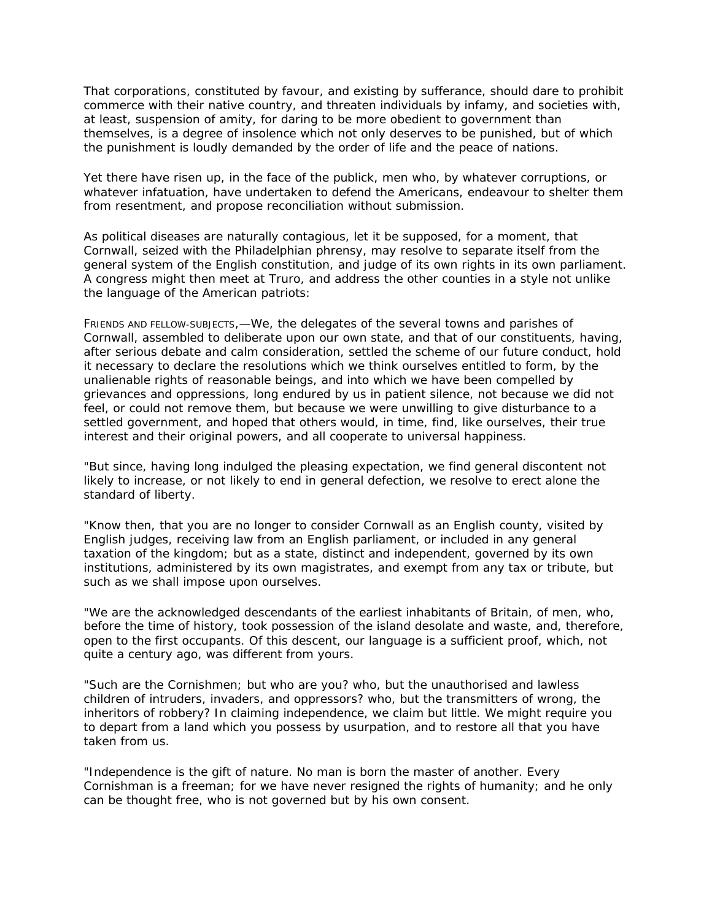That corporations, constituted by favour, and existing by sufferance, should dare to prohibit commerce with their native country, and threaten individuals by infamy, and societies with, at least, suspension of amity, for daring to be more obedient to government than themselves, is a degree of insolence which not only deserves to be punished, but of which the punishment is loudly demanded by the order of life and the peace of nations.

Yet there have risen up, in the face of the publick, men who, by whatever corruptions, or whatever infatuation, have undertaken to defend the Americans, endeavour to shelter them from resentment, and propose reconciliation without submission.

As political diseases are naturally contagious, let it be supposed, for a moment, that Cornwall, seized with the Philadelphian phrensy, may resolve to separate itself from the general system of the English constitution, and judge of its own rights in its own parliament. A congress might then meet at Truro, and address the other counties in a style not unlike the language of the American patriots:

FRIENDS AND FELLOW-SUBJECTS,—We, the delegates of the several towns and parishes of Cornwall, assembled to deliberate upon our own state, and that of our constituents, having, after serious debate and calm consideration, settled the scheme of our future conduct, hold it necessary to declare the resolutions which we think ourselves entitled to form, by the unalienable rights of reasonable beings, and into which we have been compelled by grievances and oppressions, long endured by us in patient silence, not because we did not feel, or could not remove them, but because we were unwilling to give disturbance to a settled government, and hoped that others would, in time, find, like ourselves, their true interest and their original powers, and all cooperate to universal happiness.

"But since, having long indulged the pleasing expectation, we find general discontent not likely to increase, or not likely to end in general defection, we resolve to erect alone the standard of liberty.

"Know then, that you are no longer to consider Cornwall as an English county, visited by English judges, receiving law from an English parliament, or included in any general taxation of the kingdom; but as a state, distinct and independent, governed by its own institutions, administered by its own magistrates, and exempt from any tax or tribute, but such as we shall impose upon ourselves.

"We are the acknowledged descendants of the earliest inhabitants of Britain, of men, who, before the time of history, took possession of the island desolate and waste, and, therefore, open to the first occupants. Of this descent, our language is a sufficient proof, which, not quite a century ago, was different from yours.

"Such are the Cornishmen; but who are you? who, but the unauthorised and lawless children of intruders, invaders, and oppressors? who, but the transmitters of wrong, the inheritors of robbery? In claiming independence, we claim but little. We might require you to depart from a land which you possess by usurpation, and to restore all that you have taken from us.

"Independence is the gift of nature. No man is born the master of another. Every Cornishman is a freeman; for we have never resigned the rights of humanity; and he only can be thought free, who is not governed but by his own consent.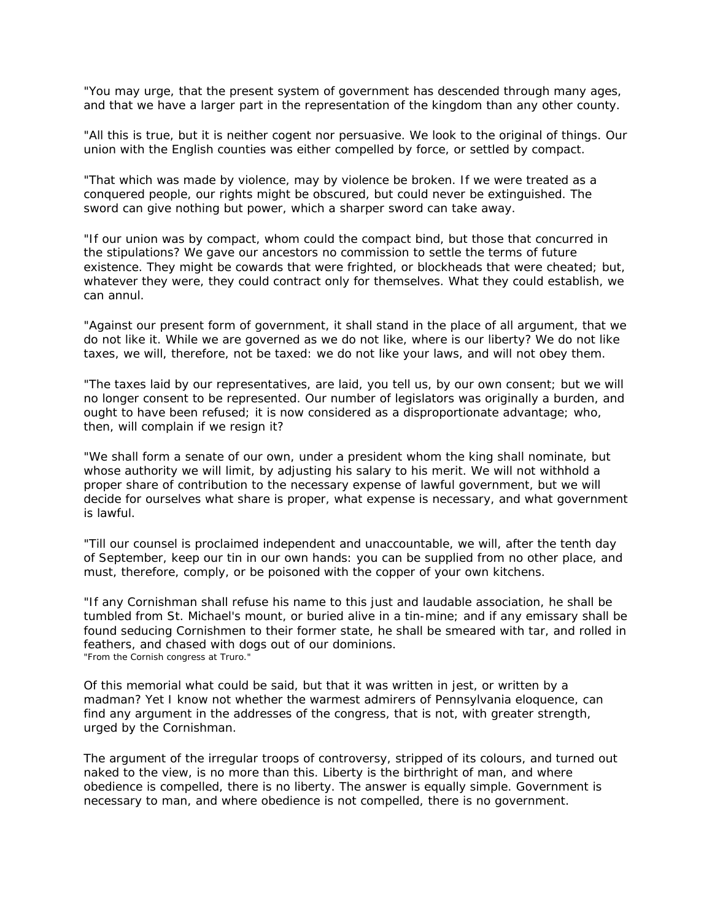"You may urge, that the present system of government has descended through many ages, and that we have a larger part in the representation of the kingdom than any other county.

"All this is true, but it is neither cogent nor persuasive. We look to the original of things. Our union with the English counties was either compelled by force, or settled by compact.

"That which was made by violence, may by violence be broken. If we were treated as a conquered people, our rights might be obscured, but could never be extinguished. The sword can give nothing but power, which a sharper sword can take away.

"If our union was by compact, whom could the compact bind, but those that concurred in the stipulations? We gave our ancestors no commission to settle the terms of future existence. They might be cowards that were frighted, or blockheads that were cheated; but, whatever they were, they could contract only for themselves. What they could establish, we can annul.

"Against our present form of government, it shall stand in the place of all argument, that we do not like it. While we are governed as we do not like, where is our liberty? We do not like taxes, we will, therefore, not be taxed: we do not like your laws, and will not obey them.

"The taxes laid by our representatives, are laid, you tell us, by our own consent; but we will no longer consent to be represented. Our number of legislators was originally a burden, and ought to have been refused; it is now considered as a disproportionate advantage; who, then, will complain if we resign it?

"We shall form a senate of our own, under a president whom the king shall nominate, but whose authority we will limit, by adjusting his salary to his merit. We will not withhold a proper share of contribution to the necessary expense of lawful government, but we will decide for ourselves what share is proper, what expense is necessary, and what government is lawful.

"Till our counsel is proclaimed independent and unaccountable, we will, after the tenth day of September, keep our tin in our own hands: you can be supplied from no other place, and must, therefore, comply, or be poisoned with the copper of your own kitchens.

"If any Cornishman shall refuse his name to this just and laudable association, he shall be tumbled from St. Michael's mount, or buried alive in a tin-mine; and if any emissary shall be found seducing Cornishmen to their former state, he shall be smeared with tar, and rolled in feathers, and chased with dogs out of our dominions. "From the Cornish congress at Truro."

Of this memorial what could be said, but that it was written in jest, or written by a madman? Yet I know not whether the warmest admirers of Pennsylvania eloquence, can find any argument in the addresses of the congress, that is not, with greater strength, urged by the Cornishman.

The argument of the irregular troops of controversy, stripped of its colours, and turned out naked to the view, is no more than this. Liberty is the birthright of man, and where obedience is compelled, there is no liberty. The answer is equally simple. Government is necessary to man, and where obedience is not compelled, there is no government.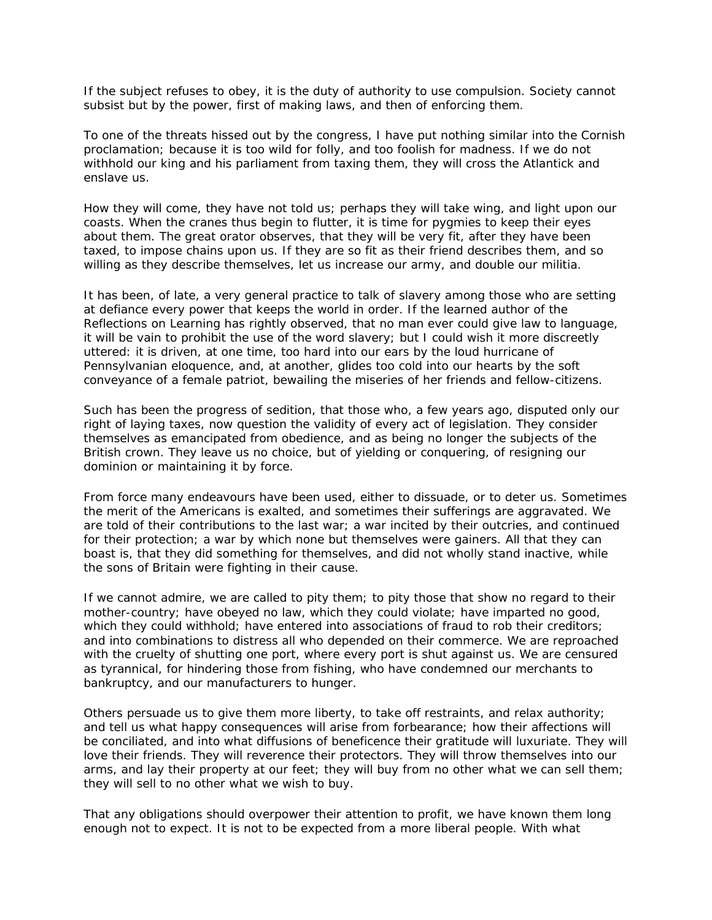If the subject refuses to obey, it is the duty of authority to use compulsion. Society cannot subsist but by the power, first of making laws, and then of enforcing them.

To one of the threats hissed out by the congress, I have put nothing similar into the Cornish proclamation; because it is too wild for folly, and too foolish for madness. If we do not withhold our king and his parliament from taxing them, they will cross the Atlantick and enslave us.

How they will come, they have not told us; perhaps they will take wing, and light upon our coasts. When the cranes thus begin to flutter, it is time for pygmies to keep their eyes about them. The great orator observes, that they will be very fit, after they have been taxed, to impose chains upon us. If they are so fit as their friend describes them, and so willing as they describe themselves, let us increase our army, and double our militia.

It has been, of late, a very general practice to talk of slavery among those who are setting at defiance every power that keeps the world in order. If the learned author of the Reflections on Learning has rightly observed, that no man ever could give law to language, it will be vain to prohibit the use of the word slavery; but I could wish it more discreetly uttered: it is driven, at one time, too hard into our ears by the loud hurricane of Pennsylvanian eloquence, and, at another, glides too cold into our hearts by the soft conveyance of a female patriot, bewailing the miseries of her friends and fellow-citizens.

Such has been the progress of sedition, that those who, a few years ago, disputed only our right of laying taxes, now question the validity of every act of legislation. They consider themselves as emancipated from obedience, and as being no longer the subjects of the British crown. They leave us no choice, but of yielding or conquering, of resigning our dominion or maintaining it by force.

From force many endeavours have been used, either to dissuade, or to deter us. Sometimes the merit of the Americans is exalted, and sometimes their sufferings are aggravated. We are told of their contributions to the last war; a war incited by their outcries, and continued for their protection; a war by which none but themselves were gainers. All that they can boast is, that they did something for themselves, and did not wholly stand inactive, while the sons of Britain were fighting in their cause.

If we cannot admire, we are called to pity them; to pity those that show no regard to their mother-country; have obeyed no law, which they could violate; have imparted no good, which they could withhold; have entered into associations of fraud to rob their creditors; and into combinations to distress all who depended on their commerce. We are reproached with the cruelty of shutting one port, where every port is shut against us. We are censured as tyrannical, for hindering those from fishing, who have condemned our merchants to bankruptcy, and our manufacturers to hunger.

Others persuade us to give them more liberty, to take off restraints, and relax authority; and tell us what happy consequences will arise from forbearance; how their affections will be conciliated, and into what diffusions of beneficence their gratitude will luxuriate. They will love their friends. They will reverence their protectors. They will throw themselves into our arms, and lay their property at our feet; they will buy from no other what we can sell them; they will sell to no other what we wish to buy.

That any obligations should overpower their attention to profit, we have known them long enough not to expect. It is not to be expected from a more liberal people. With what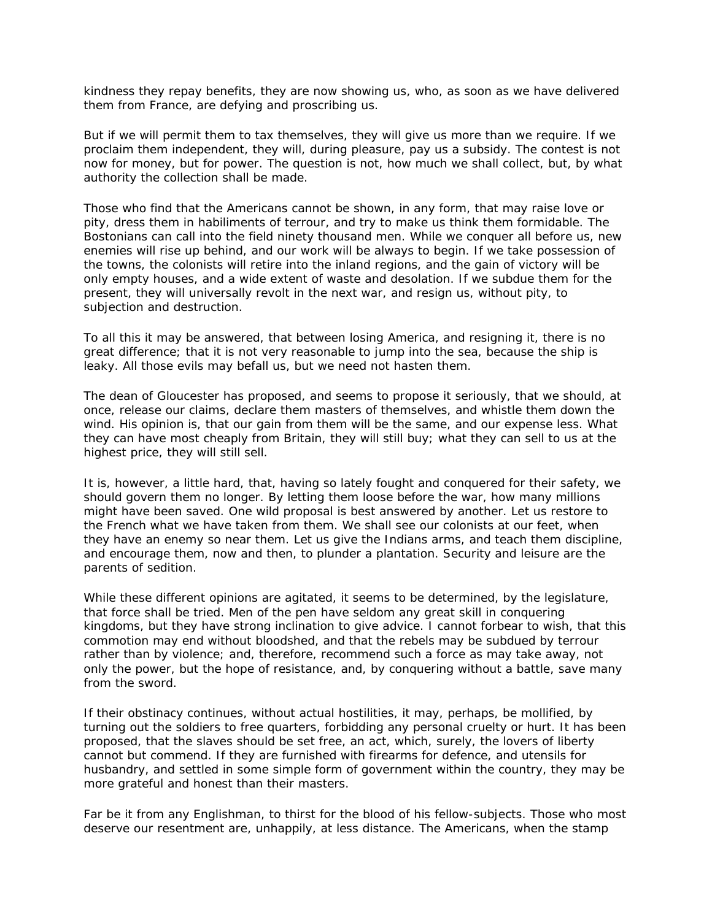kindness they repay benefits, they are now showing us, who, as soon as we have delivered them from France, are defying and proscribing us.

But if we will permit them to tax themselves, they will give us more than we require. If we proclaim them independent, they will, during pleasure, pay us a subsidy. The contest is not now for money, but for power. The question is not, how much we shall collect, but, by what authority the collection shall be made.

Those who find that the Americans cannot be shown, in any form, that may raise love or pity, dress them in habiliments of terrour, and try to make us think them formidable. The Bostonians can call into the field ninety thousand men. While we conquer all before us, new enemies will rise up behind, and our work will be always to begin. If we take possession of the towns, the colonists will retire into the inland regions, and the gain of victory will be only empty houses, and a wide extent of waste and desolation. If we subdue them for the present, they will universally revolt in the next war, and resign us, without pity, to subjection and destruction.

To all this it may be answered, that between losing America, and resigning it, there is no great difference; that it is not very reasonable to jump into the sea, because the ship is leaky. All those evils may befall us, but we need not hasten them.

The dean of Gloucester has proposed, and seems to propose it seriously, that we should, at once, release our claims, declare them masters of themselves, and whistle them down the wind. His opinion is, that our gain from them will be the same, and our expense less. What they can have most cheaply from Britain, they will still buy; what they can sell to us at the highest price, they will still sell.

It is, however, a little hard, that, having so lately fought and conquered for their safety, we should govern them no longer. By letting them loose before the war, how many millions might have been saved. One wild proposal is best answered by another. Let us restore to the French what we have taken from them. We shall see our colonists at our feet, when they have an enemy so near them. Let us give the Indians arms, and teach them discipline, and encourage them, now and then, to plunder a plantation. Security and leisure are the parents of sedition.

While these different opinions are agitated, it seems to be determined, by the legislature, that force shall be tried. Men of the pen have seldom any great skill in conquering kingdoms, but they have strong inclination to give advice. I cannot forbear to wish, that this commotion may end without bloodshed, and that the rebels may be subdued by terrour rather than by violence; and, therefore, recommend such a force as may take away, not only the power, but the hope of resistance, and, by conquering without a battle, save many from the sword.

If their obstinacy continues, without actual hostilities, it may, perhaps, be mollified, by turning out the soldiers to free quarters, forbidding any personal cruelty or hurt. It has been proposed, that the slaves should be set free, an act, which, surely, the lovers of liberty cannot but commend. If they are furnished with firearms for defence, and utensils for husbandry, and settled in some simple form of government within the country, they may be more grateful and honest than their masters.

Far be it from any Englishman, to thirst for the blood of his fellow-subjects. Those who most deserve our resentment are, unhappily, at less distance. The Americans, when the stamp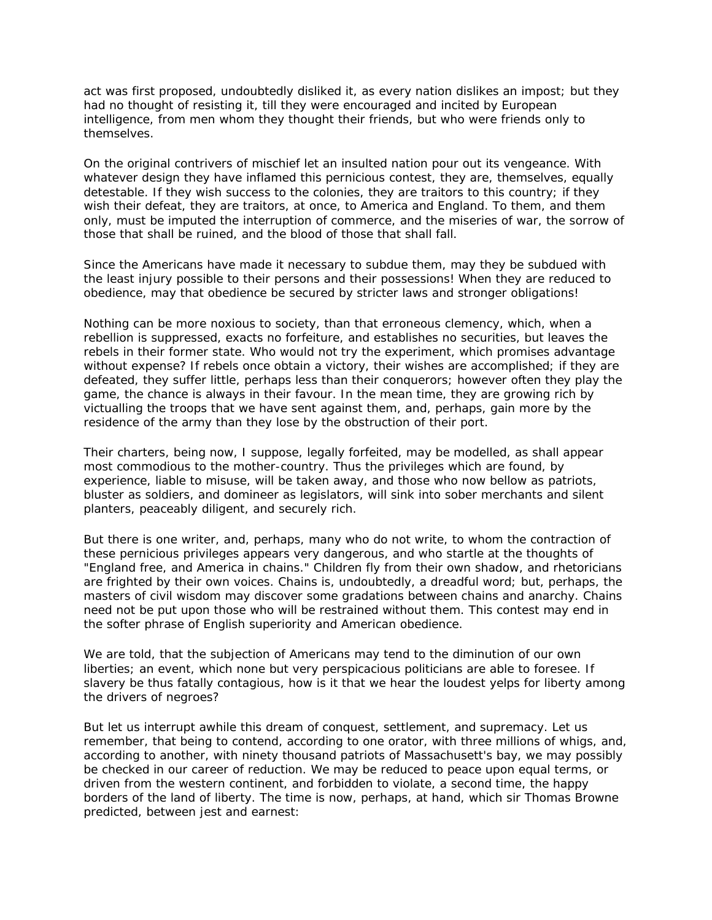act was first proposed, undoubtedly disliked it, as every nation dislikes an impost; but they had no thought of resisting it, till they were encouraged and incited by European intelligence, from men whom they thought their friends, but who were friends only to themselves.

On the original contrivers of mischief let an insulted nation pour out its vengeance. With whatever design they have inflamed this pernicious contest, they are, themselves, equally detestable. If they wish success to the colonies, they are traitors to this country; if they wish their defeat, they are traitors, at once, to America and England. To them, and them only, must be imputed the interruption of commerce, and the miseries of war, the sorrow of those that shall be ruined, and the blood of those that shall fall.

Since the Americans have made it necessary to subdue them, may they be subdued with the least injury possible to their persons and their possessions! When they are reduced to obedience, may that obedience be secured by stricter laws and stronger obligations!

Nothing can be more noxious to society, than that erroneous clemency, which, when a rebellion is suppressed, exacts no forfeiture, and establishes no securities, but leaves the rebels in their former state. Who would not try the experiment, which promises advantage without expense? If rebels once obtain a victory, their wishes are accomplished; if they are defeated, they suffer little, perhaps less than their conquerors; however often they play the game, the chance is always in their favour. In the mean time, they are growing rich by victualling the troops that we have sent against them, and, perhaps, gain more by the residence of the army than they lose by the obstruction of their port.

Their charters, being now, I suppose, legally forfeited, may be modelled, as shall appear most commodious to the mother-country. Thus the privileges which are found, by experience, liable to misuse, will be taken away, and those who now bellow as patriots, bluster as soldiers, and domineer as legislators, will sink into sober merchants and silent planters, peaceably diligent, and securely rich.

But there is one writer, and, perhaps, many who do not write, to whom the contraction of these pernicious privileges appears very dangerous, and who startle at the thoughts of "England free, and America in chains." Children fly from their own shadow, and rhetoricians are frighted by their own voices. Chains is, undoubtedly, a dreadful word; but, perhaps, the masters of civil wisdom may discover some gradations between chains and anarchy. Chains need not be put upon those who will be restrained without them. This contest may end in the softer phrase of English superiority and American obedience.

We are told, that the subjection of Americans may tend to the diminution of our own liberties; an event, which none but very perspicacious politicians are able to foresee. If slavery be thus fatally contagious, how is it that we hear the loudest yelps for liberty among the drivers of negroes?

But let us interrupt awhile this dream of conquest, settlement, and supremacy. Let us remember, that being to contend, according to one orator, with three millions of whigs, and, according to another, with ninety thousand patriots of Massachusett's bay, we may possibly be checked in our career of reduction. We may be reduced to peace upon equal terms, or driven from the western continent, and forbidden to violate, a second time, the happy borders of the land of liberty. The time is now, perhaps, at hand, which sir Thomas Browne predicted, between jest and earnest: